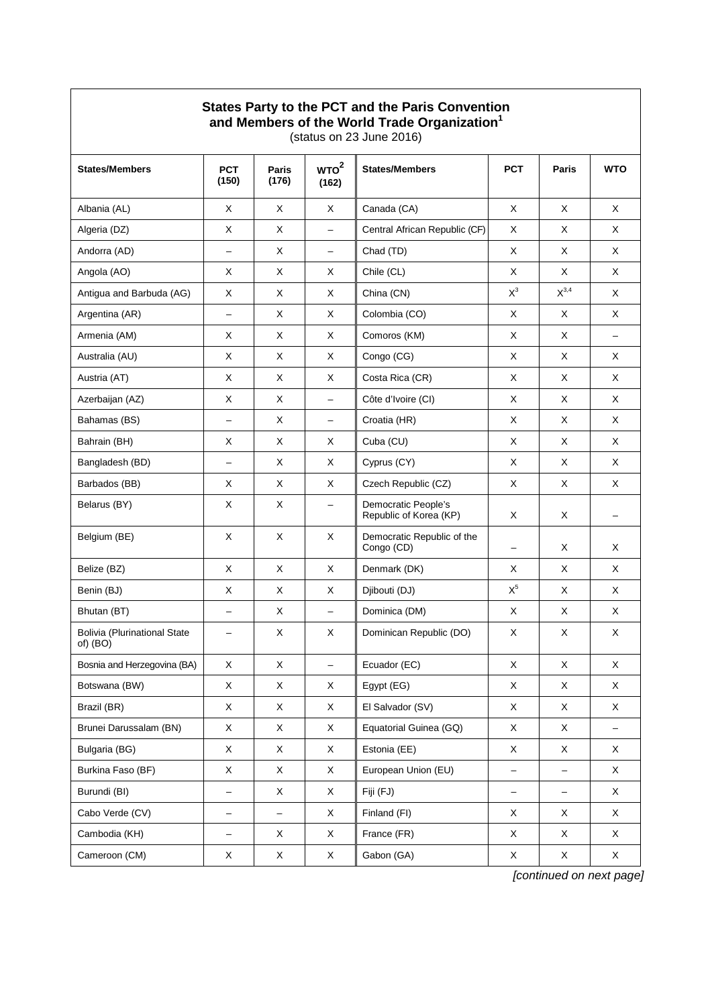## **States Party to the PCT and the Paris Convention**

**and Members of the World Trade Organization1**

(status on 23 June 2016)

| <b>States/Members</b>                             | <b>PCT</b><br>(150)      | <b>Paris</b><br>(176) | WTO <sup>2</sup><br>(162) | <b>States/Members</b>                         | <b>PCT</b>               | Paris             | <b>WTO</b>               |
|---------------------------------------------------|--------------------------|-----------------------|---------------------------|-----------------------------------------------|--------------------------|-------------------|--------------------------|
| Albania (AL)                                      | X                        | X                     | Χ                         | Canada (CA)                                   | X                        | X                 | X                        |
| Algeria (DZ)                                      | X                        | X                     | $\overline{\phantom{0}}$  | Central African Republic (CF)                 | X                        | X                 | X                        |
| Andorra (AD)                                      | $\overline{\phantom{0}}$ | X                     | $\overline{\phantom{0}}$  | Chad (TD)                                     | X                        | X                 | X                        |
| Angola (AO)                                       | X                        | X                     | X                         | Chile (CL)                                    | X                        | X                 | X                        |
| Antigua and Barbuda (AG)                          | X                        | X                     | X                         | China (CN)                                    | $X^3$                    | $X^{3,4}$         | X                        |
| Argentina (AR)                                    | $\overline{\phantom{0}}$ | X                     | X                         | Colombia (CO)                                 | X                        | X                 | X                        |
| Armenia (AM)                                      | X                        | X                     | X                         | Comoros (KM)                                  | X                        | X                 | $\qquad \qquad -$        |
| Australia (AU)                                    | X                        | X                     | X                         | Congo (CG)                                    | X                        | X                 | X                        |
| Austria (AT)                                      | X                        | X                     | X                         | Costa Rica (CR)                               | X                        | X                 | X                        |
| Azerbaijan (AZ)                                   | X                        | X                     | $\overline{\phantom{0}}$  | Côte d'Ivoire (CI)                            | X                        | X                 | X                        |
| Bahamas (BS)                                      | $\equiv$                 | X                     | $\overline{\phantom{m}}$  | Croatia (HR)                                  | X                        | X                 | X                        |
| Bahrain (BH)                                      | X                        | X                     | Χ                         | Cuba (CU)                                     | X                        | X                 | X                        |
| Bangladesh (BD)                                   | $\qquad \qquad -$        | X                     | X                         | Cyprus (CY)                                   | X                        | X                 | X                        |
| Barbados (BB)                                     | X                        | X                     | X                         | Czech Republic (CZ)                           | X                        | X                 | X                        |
| Belarus (BY)                                      | X                        | X                     | -                         | Democratic People's<br>Republic of Korea (KP) | X                        | X                 |                          |
| Belgium (BE)                                      | X                        | X                     | X                         | Democratic Republic of the<br>Congo (CD)      | -                        | Χ                 | X                        |
| Belize (BZ)                                       | X                        | X                     | X                         | Denmark (DK)                                  | X                        | X                 | X                        |
| Benin (BJ)                                        | X                        | X                     | X                         | Djibouti (DJ)                                 | $\mathsf{X}^5$           | X                 | X                        |
| Bhutan (BT)                                       | $\overline{\phantom{0}}$ | X                     | $\overline{\phantom{0}}$  | Dominica (DM)                                 | X                        | X                 | X                        |
| <b>Bolivia (Plurinational State</b><br>$of)$ (BO) |                          | X                     | X                         | Dominican Republic (DO)                       | X                        | X                 | X                        |
| Bosnia and Herzegovina (BA)                       | X                        | X                     | $\overline{\phantom{0}}$  | Ecuador (EC)                                  | X                        | $\mathsf X$       | X                        |
| Botswana (BW)                                     | Χ                        | Χ                     | X                         | Egypt (EG)                                    | Χ                        | Χ                 | Χ                        |
| Brazil (BR)                                       | X                        | X                     | X                         | El Salvador (SV)                              | X                        | Χ                 | X                        |
| Brunei Darussalam (BN)                            | X                        | X                     | X                         | Equatorial Guinea (GQ)                        | X                        | X                 | $\overline{\phantom{0}}$ |
| Bulgaria (BG)                                     | X                        | $\mathsf X$           | X                         | Estonia (EE)                                  | X                        | X                 | X                        |
| Burkina Faso (BF)                                 | X                        | $\mathsf X$           | X                         | European Union (EU)                           | $\overline{\phantom{0}}$ | $\qquad \qquad -$ | X                        |
| Burundi (BI)                                      | $\qquad \qquad -$        | X                     | X                         | Fiji (FJ)                                     | -                        | $\qquad \qquad -$ | X                        |
| Cabo Verde (CV)                                   | -                        | -                     | X                         | Finland (FI)                                  | X                        | X                 | X                        |
| Cambodia (KH)                                     | $\qquad \qquad -$        | X                     | X                         | France (FR)                                   | X                        | X                 | X                        |
| Cameroon (CM)                                     | X                        | X                     | X                         | Gabon (GA)                                    | X                        | X                 | X                        |

*[continued on next page]*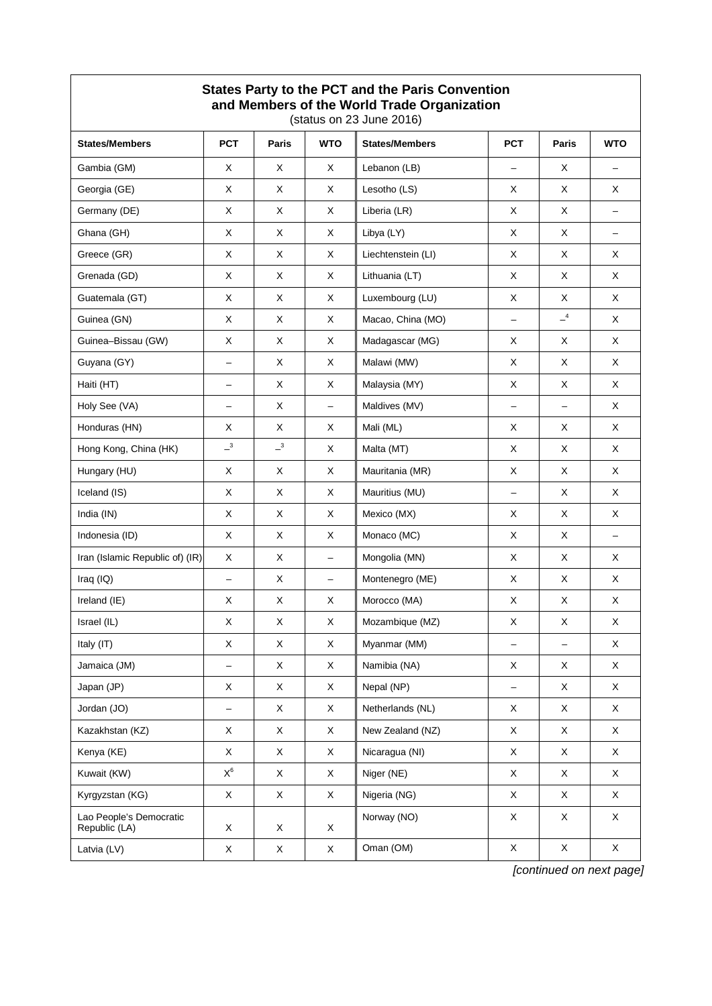| States Party to the PCT and the Paris Convention<br>and Members of the World Trade Organization<br>(status on 23 June 2016) |                          |              |                          |                       |                          |                   |                          |  |
|-----------------------------------------------------------------------------------------------------------------------------|--------------------------|--------------|--------------------------|-----------------------|--------------------------|-------------------|--------------------------|--|
| <b>States/Members</b>                                                                                                       | <b>PCT</b>               | <b>Paris</b> | <b>WTO</b>               | <b>States/Members</b> | <b>PCT</b>               | Paris             | <b>WTO</b>               |  |
| Gambia (GM)                                                                                                                 | X                        | X            | X                        | Lebanon (LB)          | $\overline{\phantom{0}}$ | X                 |                          |  |
| Georgia (GE)                                                                                                                | X                        | X            | X                        | Lesotho (LS)          | X                        | X                 | $\times$                 |  |
| Germany (DE)                                                                                                                | X                        | X            | X                        | Liberia (LR)          | X                        | X                 | $\overline{\phantom{0}}$ |  |
| Ghana (GH)                                                                                                                  | X                        | X            | X                        | Libya (LY)            | X                        | X                 | $-$                      |  |
| Greece (GR)                                                                                                                 | X                        | X            | X                        | Liechtenstein (LI)    | X                        | X                 | X                        |  |
| Grenada (GD)                                                                                                                | X                        | X            | X                        | Lithuania (LT)        | X                        | X                 | X                        |  |
| Guatemala (GT)                                                                                                              | X                        | X            | X                        | Luxembourg (LU)       | X                        | X                 | X                        |  |
| Guinea (GN)                                                                                                                 | X                        | X            | X                        | Macao, China (MO)     |                          | $-4$              | X                        |  |
| Guinea-Bissau (GW)                                                                                                          | X                        | X            | X                        | Madagascar (MG)       | X                        | X                 | X                        |  |
| Guyana (GY)                                                                                                                 | -                        | X            | X                        | Malawi (MW)           | X                        | X                 | X                        |  |
| Haiti (HT)                                                                                                                  | $\overline{\phantom{0}}$ | X            | X                        | Malaysia (MY)         | X                        | X                 | X                        |  |
| Holy See (VA)                                                                                                               | $\overline{\phantom{0}}$ | X            | $\overline{\phantom{0}}$ | Maldives (MV)         |                          | $\qquad \qquad -$ | X                        |  |
| Honduras (HN)                                                                                                               | X                        | X            | X                        | Mali (ML)             | X                        | X                 | X                        |  |
| Hong Kong, China (HK)                                                                                                       | $-$ <sup>3</sup>         | $-3$         | X                        | Malta (MT)            | X                        | X                 | X                        |  |
| Hungary (HU)                                                                                                                | X                        | X            | X                        | Mauritania (MR)       | X                        | X                 | X                        |  |
| Iceland (IS)                                                                                                                | X                        | X            | X                        | Mauritius (MU)        | $\overline{\phantom{0}}$ | X                 | X                        |  |
| India (IN)                                                                                                                  | X                        | X            | X                        | Mexico (MX)           | X                        | X                 | X                        |  |
| Indonesia (ID)                                                                                                              | X                        | X            | X                        | Monaco (MC)           | X                        | X                 | $\overline{\phantom{0}}$ |  |
| Iran (Islamic Republic of) (IR)                                                                                             | X                        | X            | -                        | Mongolia (MN)         | X                        | X                 | X                        |  |
| Iraq (IQ)                                                                                                                   | -                        | X            | -                        | Montenegro (ME)       | X                        | X                 | X                        |  |
| Ireland (IE)                                                                                                                | X                        | X            | X                        | Morocco (MA)          | X                        | X                 | X                        |  |
| Israel (IL)                                                                                                                 | $\mathsf X$              | $\mathsf X$  | X                        | Mozambique (MZ)       | X                        | $\mathsf X$       | X                        |  |
| Italy (IT)                                                                                                                  | X                        | $\mathsf X$  | X                        | Myanmar (MM)          | -                        | $\qquad \qquad -$ | X                        |  |
| Jamaica (JM)                                                                                                                | $\overline{\phantom{0}}$ | X            | X                        | Namibia (NA)          | X                        | X                 | X                        |  |
| Japan (JP)                                                                                                                  | $\mathsf X$              | X            | X                        | Nepal (NP)            | $\overline{\phantom{0}}$ | X                 | $\mathsf{X}$             |  |
| Jordan (JO)                                                                                                                 | $\overline{\phantom{0}}$ | $\mathsf X$  | X                        | Netherlands (NL)      | X                        | X                 | $\mathsf X$              |  |
| Kazakhstan (KZ)                                                                                                             | $\mathsf X$              | X            | X                        | New Zealand (NZ)      | $\mathsf X$              | X                 | $\mathsf X$              |  |
| Kenya (KE)                                                                                                                  | X                        | X            | Χ                        | Nicaragua (NI)        | X                        | X                 | X                        |  |
| Kuwait (KW)                                                                                                                 | $\mathsf{X}^6$           | X            | X                        | Niger (NE)            | X                        | X                 | X                        |  |
| Kyrgyzstan (KG)                                                                                                             | $\mathsf X$              | $\mathsf X$  | X                        | Nigeria (NG)          | X                        | X                 | X                        |  |
| Lao People's Democratic<br>Republic (LA)                                                                                    | X                        | X            | X                        | Norway (NO)           | Χ                        | X                 | $\mathsf X$              |  |
| Latvia (LV)                                                                                                                 | X                        | X            | X                        | Oman (OM)             | X                        | $\mathsf X$       | $\mathsf X$              |  |

*[continued on next page]*